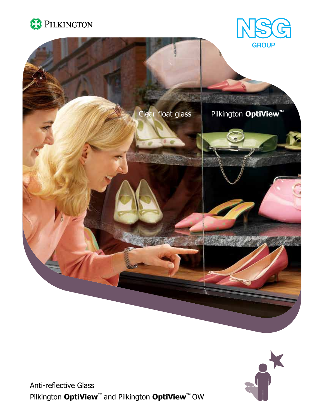





Anti-reflective Glass Pilkington **OptiView™** and Pilkington **OptiView™** OW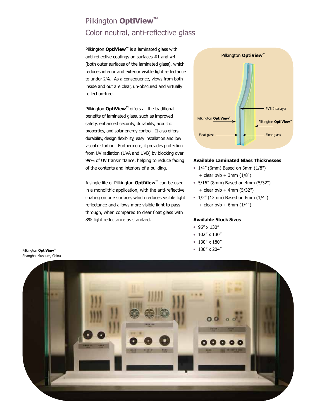# Pilkington **OptiView™** Color neutral, anti-reflective glass

Pilkington **OptiView<sup>™</sup>** is a laminated glass with anti-reflective coatings on surfaces #1 and #4 (both outer surfaces of the laminated glass), which reduces interior and exterior visible light reflectance to under 2%. As a consequence, views from both inside and out are clear, un-obscured and virtually reflection-free.

Pilkington **OptiView<sup>™</sup>** offers all the traditional benefits of laminated glass, such as improved safety, enhanced security, durability, acoustic properties, and solar energy control. It also offers durability, design flexibility, easy installation and low visual distortion. Furthermore, it provides protection from UV radiation (UVA and UVB) by blocking over 99% of UV transmittance, helping to reduce fading of the contents and interiors of a building.

A single lite of Pilkington **OptiView™** can be used in a monolithic application, with the anti-reflective coating on one surface, which reduces visible light reflectance and allows more visible light to pass through, when compared to clear float glass with 8% light reflectance as standard.



#### **Available Laminated Glass Thicknesses**

- $\bullet$  1/4" (6mm) Based on 3mm (1/8")  $+$  clear pvb  $+$  3mm (1/8")
- <sup>l</sup> 5/16" (8mm) Based on 4mm (5/32") + clear pvb + 4mm (5/32")
- $\bullet$  1/2" (12mm) Based on 6mm (1/4")  $+$  clear pvb  $+$  6mm (1/4")

#### **Available Stock Sizes**

- <sup>l</sup> 96" x 130"
- $102''$  x 130"
- $130'' \times 180''$
- <sup>l</sup> 130" x 204"



Pilkington **OptiView™** Shanghai Museum, China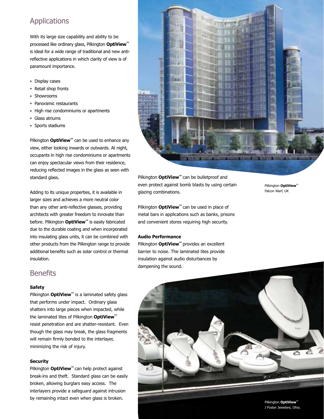## Applications

With its large size capability and ability to be processed like ordinary glass, Pilkington **OptiView™** is ideal for a wide range of traditional and new antireflective applications in which clarity of view is of paramount importance.

- Display cases
- Retail shop fronts
- Showrooms
- Panoramic restaurants
- High rise condominiums or apartments
- Glass atriums
- Sports stadiums

Pilkington **OptiView™** can be used to enhance any view, either looking inwards or outwards. At night, occupants in high rise condominiums or apartments can enjoy spectacular views from their residence, reducing reflected images in the glass as seen with standard glass.

Adding to its unique properties, it is available in larger sizes and achieves a more neutral color than any other anti-reflective glasses, providing architects with greater freedom to innovate than before. Pilkington **OptiView™** is easily fabricated due to the durable coating and when incorporated into insulating glass units, it can be combined with other products from the Pilkington range to provide additional benefits such as solar control or thermal insulation.

## **Benefits**

#### **Safety**

Pilkington **OptiView<sup>™</sup>** is a laminated safety glass that performs under impact. Ordinary glass shatters into large pieces when impacted, while the laminated lites of Pilkington **OptiView™**  resist penetration and are shatter-resistant. Even though the glass may break, the glass fragments will remain firmly bonded to the interlayer, minimizing the risk of injury.

#### **Security**

Pilkington **OptiView™** can help protect against break-ins and theft. Standard glass can be easily broken, allowing burglars easy access. The interlayers provide a safeguard against intrusion by remaining intact even when glass is broken.



Pilkington **OptiView™** can be bulletproof and even protect against bomb blasts by using certain glazing combinations.

Pilkington **OptiView™** can be used in place of metal bars in applications such as banks, prisons and convenient stores requiring high security.

#### **Audio Performance**

Pilkington **OptiView™** provides an excellent barrier to noise. The laminated lites provide insulation against audio disturbances by dampening the sound.

Pilkington **OptiView™** Falcon Warf, UK



Pilkington **OptiView™** J Foster Jewelers, Ohio.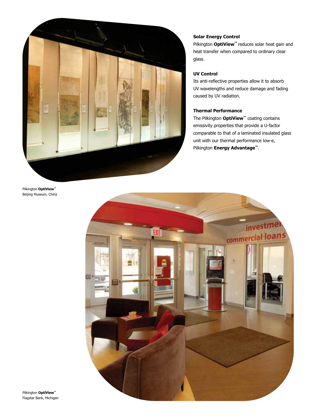

#### **Solar Energy Control**

Pilkington **OptiView™** reduces solar heat gain and heat transfer when compared to ordinary clear glass.

### **UV Control**

Its anti-reflective properties allow it to absorb UV wavelengths and reduce damage and fading caused by UV radiation.

## **Thermal Performance**

The Pilkington **OptiView™** coating contains emissivity properties that provide a U-factor comparable to that of a laminated insulated glass unit with our thermal performance low-e, Pilkington **Energy Advantage™**.

Pilkington **OptiView™** Beijing Museum, China



Pilkington **OptiView™** Flagstar Bank, Michigan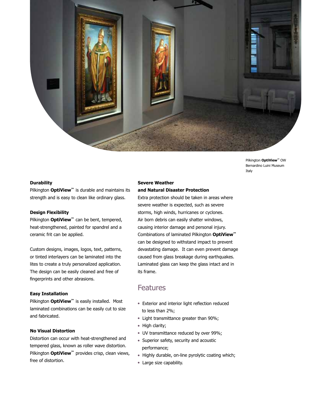

Pilkington **OptiView™** OW Bernardino Luini Museum Italy

#### **Durability**

Pilkington **OptiView™** is durable and maintains its strength and is easy to clean like ordinary glass.

#### **Design Flexibility**

Pilkington **OptiView™** can be bent, tempered, heat-strengthened, painted for spandrel and a ceramic frit can be applied.

Custom designs, images, logos, text, patterns, or tinted interlayers can be laminated into the lites to create a truly personalized application. The design can be easily cleaned and free of fingerprints and other abrasions.

#### **Easy Installation**

Pilkington **OptiView™** is easily installed. Most laminated combinations can be easily cut to size and fabricated.

#### **No Visual Distortion**

Distortion can occur with heat-strengthened and tempered glass, known as roller wave distortion. Pilkington **OptiView™** provides crisp, clean views, free of distortion.

### **Severe Weather and Natural Disaster Protection**

Extra protection should be taken in areas where severe weather is expected, such as severe storms, high winds, hurricanes or cyclones. Air born debris can easily shatter windows, causing interior damage and personal injury. Combinations of laminated Pilkington **OptiView™**  can be designed to withstand impact to prevent devastating damage. It can even prevent damage caused from glass breakage during earthquakes. Laminated glass can keep the glass intact and in its frame.

## Features

- Exterior and interior light reflection reduced to less than 2%;
- Light transmittance greater than 90%;
- High clarity;
- UV transmittance reduced by over 99%;
- Superior safety, security and acoustic performance;
- Highly durable, on-line pyrolytic coating which;
- Large size capability.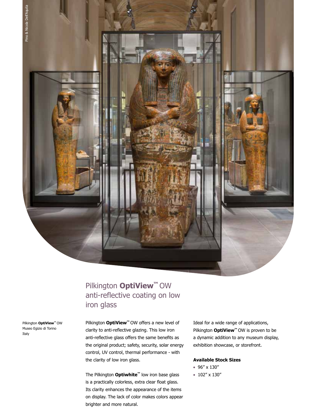

# Pilkington **OptiView™** OW anti-reflective coating on low iron glass

Pilkington **OptiView™** OW Museo Egizio di Torino Italy

Pilkington **OptiView™** OW offers a new level of clarity to anti-reflective glazing. This low iron anti-reflective glass offers the same benefits as the original product; safety, security, solar energy control, UV control, thermal performance - with the clarity of low iron glass.

The Pilkington **Optiwhite™** low iron base glass is a practically colorless, extra clear float glass. Its clarity enhances the appearance of the items on display. The lack of color makes colors appear brighter and more natural.

Ideal for a wide range of applications, Pilkington **OptiView™** OW is proven to be a dynamic addition to any museum display, exhibition showcase, or storefront.

#### **Available Stock Sizes**

- <sup>l</sup> 96" x 130"
- $\bullet$  102" x 130"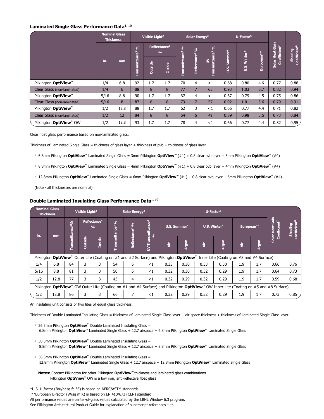#### **Laminated Single Glass Performance Data**1, 10

|                                  |      | <b>Nominal Glass</b><br><b>Thickness</b> | Visible Light <sup>2</sup> |                                           |               | Solar Energy <sup>2</sup>  |                            |                                 | U-Factor <sup>5</sup>     |                      |            |                                             |                                            |
|----------------------------------|------|------------------------------------------|----------------------------|-------------------------------------------|---------------|----------------------------|----------------------------|---------------------------------|---------------------------|----------------------|------------|---------------------------------------------|--------------------------------------------|
|                                  |      | mm                                       | ℅<br>൚                     | Reflectance <sup>4</sup><br>$\frac{9}{6}$ |               | $\mathcal{S}_\mathbf{0}$   |                            | s <sub>o</sub>                  |                           |                      |            | Solar Heat Gain<br>Coefficient <sup>7</sup> | Coefficient <sup>8</sup><br><b>Shading</b> |
|                                  | in.  |                                          | g<br>nsmitta               | <b>Outside</b>                            | <b>Inside</b> | Transmittance <sup>3</sup> | Reflectance <sup>4</sup> % | Transmittance <sup>2</sup><br>ξ | <b>Summer*</b><br>is<br>U | Winter*<br><u>us</u> | European** |                                             |                                            |
| Pilkington OptiView™             | 1/4  | 6.8                                      | 92                         | 1.7                                       | 1.7           | 70                         | 4                          | <1                              | 0.68                      | 0.80                 | 4.6        | 0.77                                        | 0.88                                       |
| Clear Glass (non-laminated)      | 1/4  | 6                                        | 88                         | 8                                         | 8             | 77                         | $\overline{7}$             | 63                              | 0.93                      | 1.03                 | 5.7        | 0.82                                        | 0.94                                       |
| Pilkington OptiView <sup>™</sup> | 5/16 | 8.8                                      | 90                         | 1.7                                       | 1.7           | 67                         | 4                          | <1                              | 0.67                      | 0.79                 | 4.5        | 0.75                                        | 0.86                                       |
| Clear Glass (non-laminated)      | 5/16 | 8                                        | 87                         | 8                                         | 8             | 73                         | 7                          | 57                              | 0.92                      | 1.01                 | 5.6        | 0.79                                        | 0.91                                       |
| Pilkington <b>OptiView™</b>      | 1/2  | 12.8                                     | 88                         | 1.7                                       | 1.7           | 62                         | 3                          | <1                              | 0.66                      | 0.77                 | 4.4        | 0.71                                        | 0.82                                       |
| Clear Glass (non-laminated)      | 1/2  | 12                                       | 84                         | 8                                         | 8             | 64                         | 6                          | 49                              | 0.89                      | 0.98                 | 5.5        | 0.73                                        | 0.84                                       |
| Pilkington OptiView™ OW          | 1/2  | 12.8                                     | 93                         | 1.7                                       | 1.7           | 78                         | 4                          | $<$ 1                           | 0.66                      | 0.77                 | 4.4        | 0.82                                        | 0.95/                                      |

Clear float glass performance based on non-laminated glass.

Thickness of Laminated Single Glass = thickness of glass layer + thickness of pvb + thickness of glass layer

- <sup>l</sup> 6.8mm Pilkington **OptiView™** Laminated Single Glass = 3mm Pilkington **OptiView™** (#1) + 0.8 clear pvb layer + 3mm Pilkington **OptiView™** (#4)
- <sup>l</sup> 8.8mm Pilkington **OptiView™** Laminated Single Glass = 4mm Pilkington **OptiView™** (#1) + 0.8 clear pvb layer + 4mm Pilkington **OptiView™** (#4)
- <sup>l</sup> 12.8mm Pilkington **OptiView™** Laminated Single Glass = 6mm Pilkington **OptiView™** (#1) + 0.8 clear pvb layer + 6mm Pilkington **OptiView™** (#4)

(Note - all thicknesses are nominal)

#### **Double Laminated Insulating Glass Performance Data**<sup>1, 10</sup>

| <b>Nominal Glass</b><br>Visible Light <sup>2</sup><br><b>Thickness</b>                                                                              |      |                       |                |                                                                    | Solar Energy <sup>2</sup> |                            | U-Factor <sup>5</sup>                 |              |       |              |       |            |       |                                                 |                                          |
|-----------------------------------------------------------------------------------------------------------------------------------------------------|------|-----------------------|----------------|--------------------------------------------------------------------|---------------------------|----------------------------|---------------------------------------|--------------|-------|--------------|-------|------------|-------|-------------------------------------------------|------------------------------------------|
| in.                                                                                                                                                 | mm   | $ce^{30}/6$<br>Ë<br>Ē |                | Reflectance <sup>4</sup><br>nce <sup>3 o</sup> /o<br>$\frac{0}{0}$ |                           |                            |                                       | U.S. Summer* |       | U.S. Winter* |       | European** |       | Gain<br>Coefficient <sup>7</sup><br><b>Heat</b> | efficient <sup>8</sup><br><b>Shading</b> |
|                                                                                                                                                     |      |                       | <b>Outside</b> | <b>Inside</b>                                                      | Transmitta                | Reflectance <sup>4</sup> % | Transmittance <sup>2</sup><br>న్<br>ξ | ă            | Argon | ă            | Argon | ă          | Argon | Solar                                           |                                          |
| Pilkington OptiView <sup>™</sup> Outer Lite (Coating on #1 and #2 Surface) and Pilkington OptiView™ Inner Lite (Coating on #3 and #4 Surface)       |      |                       |                |                                                                    |                           |                            |                                       |              |       |              |       |            |       |                                                 |                                          |
| 1/4                                                                                                                                                 | 6.8  | 84                    |                | 3                                                                  | 54                        | 5                          | <1                                    | 0.33         | 0.30  | 0.33         | 0.30  | 1.9        | 1.7   | 0.66                                            | 0.76                                     |
| 5/16                                                                                                                                                | 8.8  | 81                    | 3              | 3                                                                  | 50                        | 5                          | <1                                    | 0.32         | 0.30  | 0.32         | 0.29  | 1.9        | 1.7   | 0.64                                            | 0.73                                     |
| 1/2                                                                                                                                                 | 12.8 | 77                    | 3              | 3                                                                  | 43                        | 4                          | $<$ 1                                 | 0.32         | 0.29  | 0.32         | 0.29  | 1.9        | 1.7   | 0.59                                            | 0.68                                     |
| Pilkington OptiView <sup>™</sup> OW Outer Lite (Coating on #1 and #4 Surface) and Pilkington OptiView™ OW Inner Lite (Coating on #5 and #8 Surface) |      |                       |                |                                                                    |                           |                            |                                       |              |       |              |       |            |       |                                                 |                                          |
| 1/2                                                                                                                                                 | 12.8 | 86                    | 3              | 3                                                                  | 66                        |                            | ${<}1$                                | 0.32         | 0.29  | 0.32         | 0.29  | 1.9        | 1.7   | 0.73                                            | 0.85                                     |

An insulating unit consists of two lites of equal glass thickness.

Thickness of Double Laminated Insulating Glass = thickness of Laminated Single Glass layer + air space thickness + thickness of Laminated Single Glass layer

- 26.3mm Pilkington **OptiView<sup>™</sup> Double Laminated Insulating Glass =** 6.8mm Pilkington **OptiView™** Laminated Single Glass + 12.7 airspace + 6.8mm Pilkington **OptiView™** Laminated Single Glass
- 30.3mm Pilkington **OptiView**<sup>™</sup> Double Laminated Insulating Glass = 8.8mm Pilkington **OptiView™** Laminated Single Glass + 12.7 airspace + 8.8mm Pilkington **OptiView™** Laminated Single Glass
- 38.3mm Pilkington **OptiView**<sup>™</sup> Double Laminated Insulating Glass = 12.8mm Pilkington **OptiView™** Laminated Single Glass + 12.7 airspace + 12.8mm Pilkington **OptiView™** Laminated Single Glass
- **Notes:** Contact Pilkington for other Pilkington **OptiView™** thickness and laminated glass combinations. Pilkington OptiView<sup>™</sup> OW is a low iron, anti-reflective float glass
- \*U.S. U-factor (Btu/hr.sq ft. oF) is based on NFRC/ASTM standards

\*\*European U-factor (W/sq m K) is based on EN 410/673 (CEN) standard

All performance values are center-of-glass values calculated by the LBNL Window 6.3 program.

See Pilkington Architectural Product Guide for explanation of superscript references-1, 10.